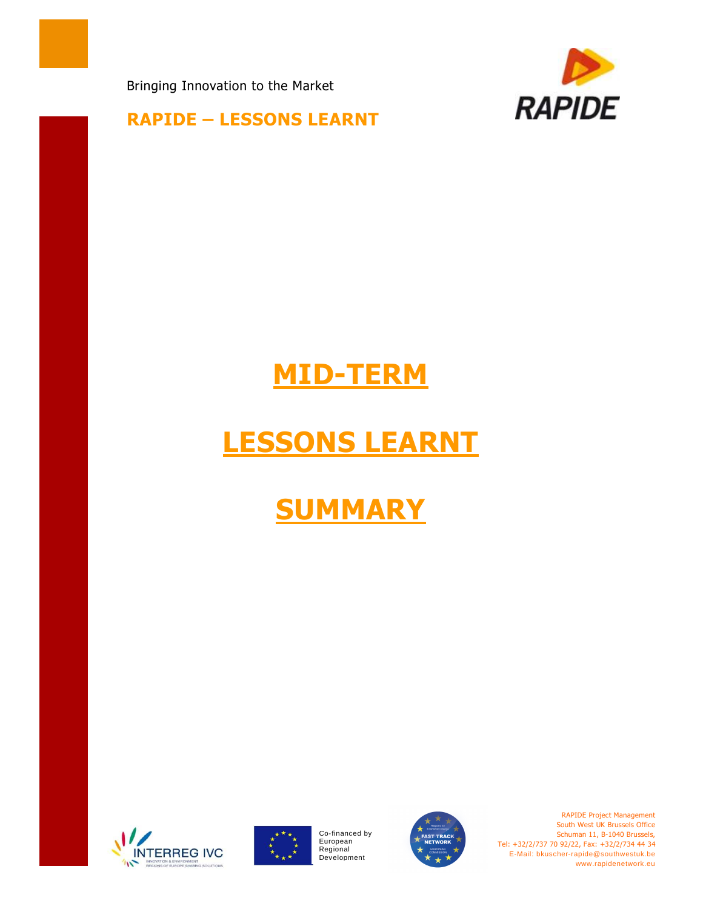Bringing Innovation to the Market



#### **RAPIDE – LESSONS LEARNT**

## **MID-TERM**

# **LESSONS LEARNT**

## **SUMMARY**





Co-financed by European Regional<br>Development



RAPIDE Project Management South West UK Brussels Office Schuman 11, B-1040 Brussels, Tel: +32/2/737 70 92/22, Fax: +32/2/734 44 34 E-Mail: bkuscher-rapide@southwestuk.be www.rapidenetwork.eu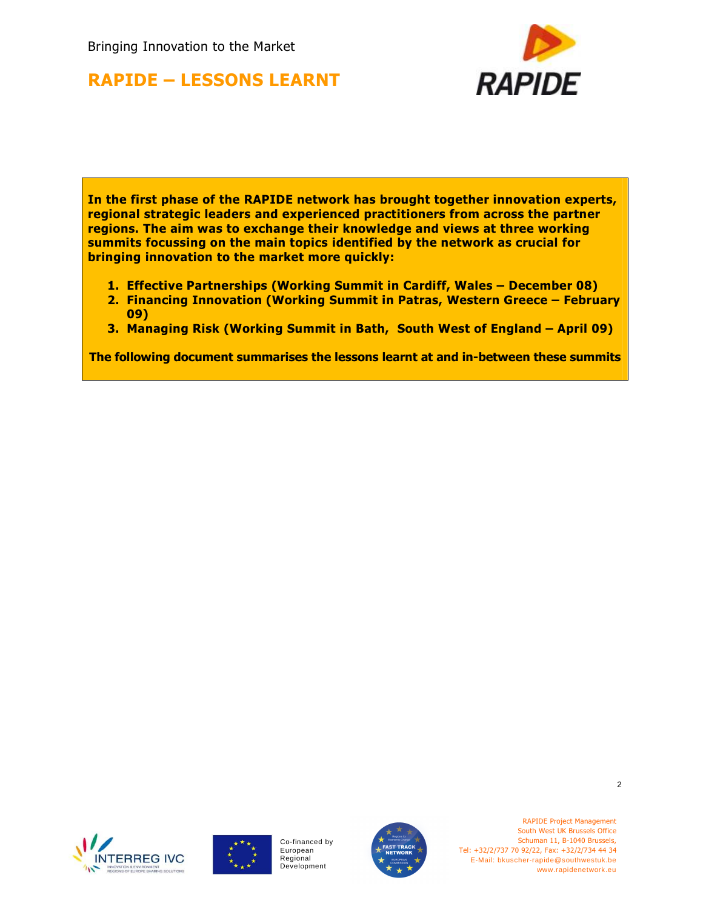Bringing Innovation to the Market

## **RAPIDE – LESSONS LEARNT**



**In the first phase of the RAPIDE network has brought together innovation experts, regional strategic leaders and experienced practitioners from across the partner regions. The aim was to exchange their knowledge and views at three working summits focussing on the main topics identified by the network as crucial for bringing innovation to the market more quickly:** 

- **1. Effective Partnerships (Working Summit in Cardiff, Wales December 08)**
- **2. Financing Innovation (Working Summit in Patras, Western Greece February 09)**
- **3. Managing Risk (Working Summit in Bath, South West of England April 09)**

**The following document summarises the lessons learnt at and in-between these summits**





Co-financed by European Regional Development



RAPIDE Project Management South West UK Brussels Office Schuman 11, B-1040 Brussels, Tel: +32/2/737 70 92/22, Fax: +32/2/734 44 34 E-Mail: bkuscher-rapide@southwestuk.be www.rapidenetwork.eu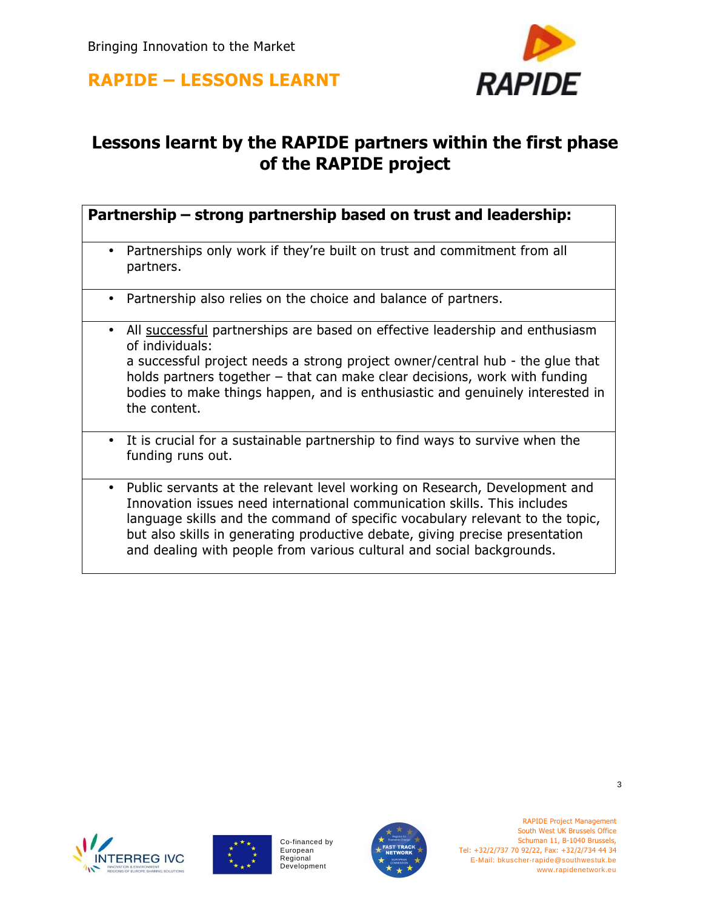

## **Lessons learnt by the RAPIDE partners within the first phase of the RAPIDE project**

#### **Partnership – strong partnership based on trust and leadership:**

- Partnerships only work if they're built on trust and commitment from all partners.
- Partnership also relies on the choice and balance of partners.
- All successful partnerships are based on effective leadership and enthusiasm of individuals: a successful project needs a strong project owner/central hub - the glue that holds partners together – that can make clear decisions, work with funding bodies to make things happen, and is enthusiastic and genuinely interested in the content.
- It is crucial for a sustainable partnership to find ways to survive when the funding runs out.
- Public servants at the relevant level working on Research, Development and Innovation issues need international communication skills. This includes language skills and the command of specific vocabulary relevant to the topic, but also skills in generating productive debate, giving precise presentation and dealing with people from various cultural and social backgrounds.





Co-financed by European Regional Development



RAPIDE Project Management South West UK Brussels Office Schuman 11, B-1040 Brussels, Tel: +32/2/737 70 92/22, Fax: +32/2/734 44 34 E-Mail: bkuscher-rapide@southwestuk.be www.rapidenetwork.eu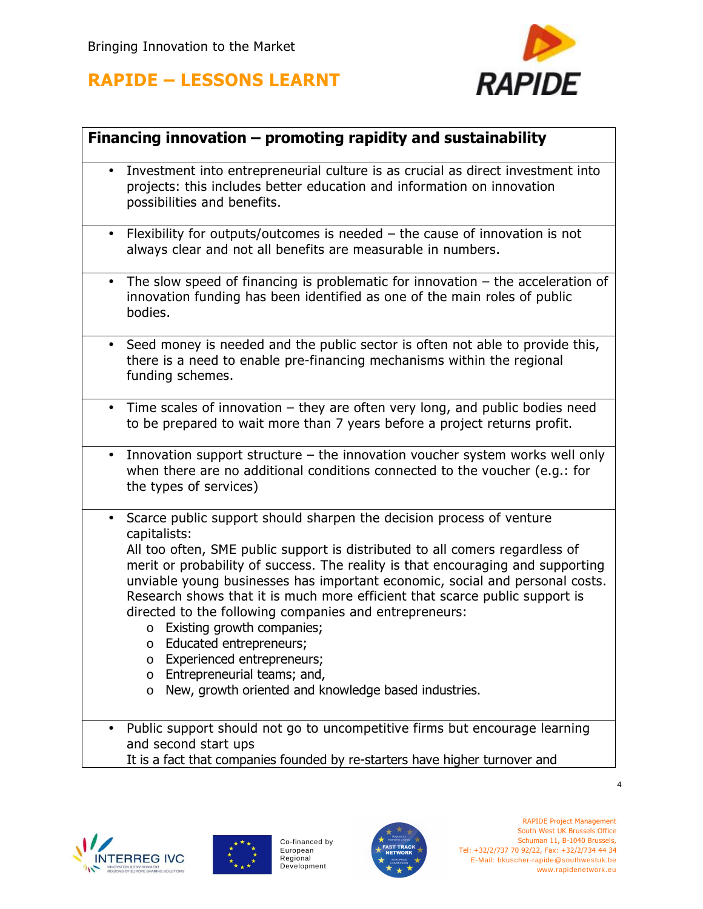

#### **Financing innovation – promoting rapidity and sustainability**

- Investment into entrepreneurial culture is as crucial as direct investment into projects: this includes better education and information on innovation possibilities and benefits.
- Flexibility for outputs/outcomes is needed the cause of innovation is not always clear and not all benefits are measurable in numbers.
- The slow speed of financing is problematic for innovation  $-$  the acceleration of innovation funding has been identified as one of the main roles of public bodies.
- Seed money is needed and the public sector is often not able to provide this, there is a need to enable pre-financing mechanisms within the regional funding schemes.
- Time scales of innovation they are often very long, and public bodies need to be prepared to wait more than 7 years before a project returns profit.
- Innovation support structure the innovation voucher system works well only when there are no additional conditions connected to the voucher (e.g.: for the types of services)
- Scarce public support should sharpen the decision process of venture capitalists:

All too often, SME public support is distributed to all comers regardless of merit or probability of success. The reality is that encouraging and supporting unviable young businesses has important economic, social and personal costs. Research shows that it is much more efficient that scarce public support is directed to the following companies and entrepreneurs:

- o Existing growth companies;
- o Educated entrepreneurs;
- o Experienced entrepreneurs;
- o Entrepreneurial teams; and,
- o New, growth oriented and knowledge based industries.
- Public support should not go to uncompetitive firms but encourage learning and second start ups
	- It is a fact that companies founded by re-starters have higher turnover and





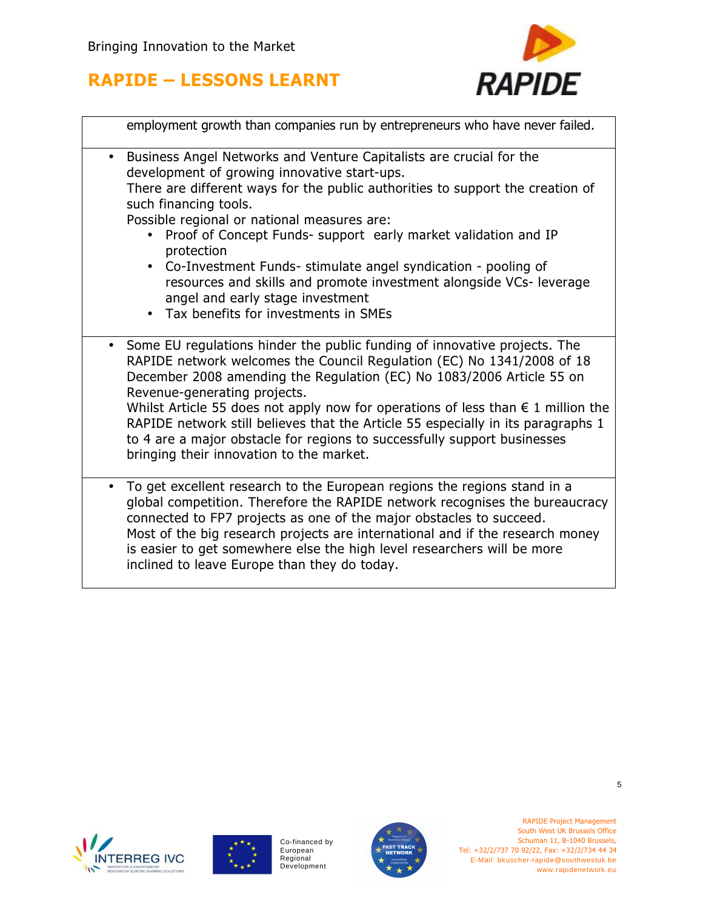

|           | employment growth than companies run by entrepreneurs who have never failed.                                                                                                                                                                                                                                                                                                                                                                                                                                                                                                        |
|-----------|-------------------------------------------------------------------------------------------------------------------------------------------------------------------------------------------------------------------------------------------------------------------------------------------------------------------------------------------------------------------------------------------------------------------------------------------------------------------------------------------------------------------------------------------------------------------------------------|
| $\bullet$ | Business Angel Networks and Venture Capitalists are crucial for the<br>development of growing innovative start-ups.<br>There are different ways for the public authorities to support the creation of<br>such financing tools.<br>Possible regional or national measures are:<br>Proof of Concept Funds- support early market validation and IP<br>protection<br>Co-Investment Funds- stimulate angel syndication - pooling of<br>resources and skills and promote investment alongside VCs- leverage<br>angel and early stage investment<br>• Tax benefits for investments in SMEs |
|           | Some EU regulations hinder the public funding of innovative projects. The<br>RAPIDE network welcomes the Council Regulation (EC) No 1341/2008 of 18<br>December 2008 amending the Regulation (EC) No 1083/2006 Article 55 on<br>Revenue-generating projects.<br>Whilst Article 55 does not apply now for operations of less than $\epsilon$ 1 million the<br>RAPIDE network still believes that the Article 55 especially in its paragraphs 1<br>to 4 are a major obstacle for regions to successfully support businesses<br>bringing their innovation to the market.               |
| $\bullet$ | To get excellent research to the European regions the regions stand in a<br>global competition. Therefore the RAPIDE network recognises the bureaucracy<br>connected to FP7 projects as one of the major obstacles to succeed.<br>Most of the big research projects are international and if the research money<br>is easier to get somewhere else the high level researchers will be more<br>inclined to leave Europe than they do today.                                                                                                                                          |





Co-financed by European<br>Regional<br>Development



RAPIDE Project Management South West UK Brussels Office Schuman 11, B-1040 Brussels, Tel: +32/2/737 70 92/22, Fax: +32/2/734 44 34 E-Mail: bkuscher-rapide@southwestuk.be www.rapidenetwork.eu